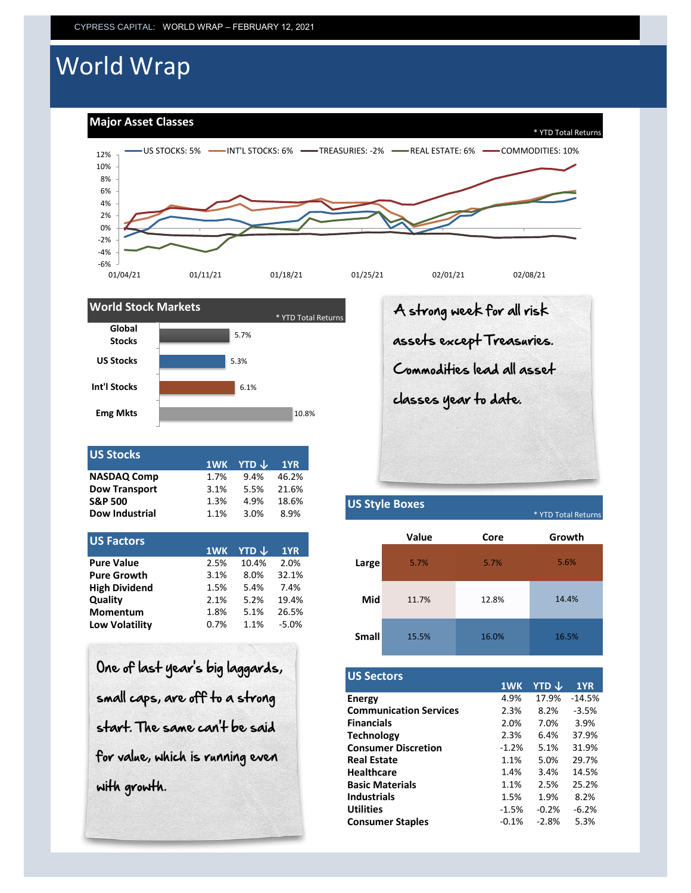# World Wrap

**Major Asset Classes**





| <b>US Stocks</b>      |      | 1WK YTD $\downarrow$ | 1YR   |
|-----------------------|------|----------------------|-------|
| <b>NASDAQ Comp</b>    | 1.7% | 9.4%                 | 46.2% |
| <b>Dow Transport</b>  | 3.1% | 5.5%                 | 21.6% |
| <b>S&amp;P 500</b>    | 1.3% | 4.9%                 | 18.6% |
| <b>Dow Industrial</b> | 1.1% | 3.0%                 | 8.9%  |
|                       |      |                      |       |

| US Factors            |      |       |         |       |
|-----------------------|------|-------|---------|-------|
|                       | 1WK  | YTD J | 1YR     |       |
| <b>Pure Value</b>     | 2.5% | 10.4% | 2.0%    | Large |
| <b>Pure Growth</b>    | 3.1% | 8.0%  | 32.1%   |       |
| <b>High Dividend</b>  | 1.5% | 5.4%  | 7.4%    |       |
| Quality               | 2.1% | 5.2%  | 19.4%   |       |
| <b>Momentum</b>       | 1.8% | 5.1%  | 26.5%   |       |
| <b>Low Volatility</b> | 0.7% | 1.1%  | $-5.0%$ |       |
|                       |      |       |         |       |

One of last year's big laggards, small caps, are off to a strong start. The same can't be said for value, which is running even with growth.

A strong week for all risk assets except Treasuries. Commodities lead all asset classes year to date.

## **US Style Boxes**

 $*$  YTD Total Return

|              | Value | Core  | Growth |
|--------------|-------|-------|--------|
| Large        | 5.7%  | 5.7%  | 5.6%   |
| Mid          | 11.7% | 12.8% | 14.4%  |
| <b>Small</b> | 15.5% | 16.0% | 16.5%  |

| <b>US Sectors</b>             |         |         |          |
|-------------------------------|---------|---------|----------|
|                               | 1WK     | YTD J   | 1YR      |
| <b>Energy</b>                 | 4.9%    | 17.9%   | $-14.5%$ |
| <b>Communication Services</b> | 2.3%    | 8.2%    | $-3.5%$  |
| <b>Financials</b>             | 2.0%    | 7.0%    | 3.9%     |
| <b>Technology</b>             | 2.3%    | 6.4%    | 37.9%    |
| <b>Consumer Discretion</b>    | $-1.2%$ | 5.1%    | 31.9%    |
| <b>Real Estate</b>            | 1.1%    | 5.0%    | 29.7%    |
| <b>Healthcare</b>             | 1.4%    | 3.4%    | 14.5%    |
| <b>Basic Materials</b>        | 1.1%    | 2.5%    | 25.2%    |
| <b>Industrials</b>            | 1.5%    | 1.9%    | 8.2%     |
| <b>Utilities</b>              | $-1.5%$ | $-0.2%$ | $-6.2%$  |
| <b>Consumer Staples</b>       | $-0.1%$ | $-2.8%$ | 5.3%     |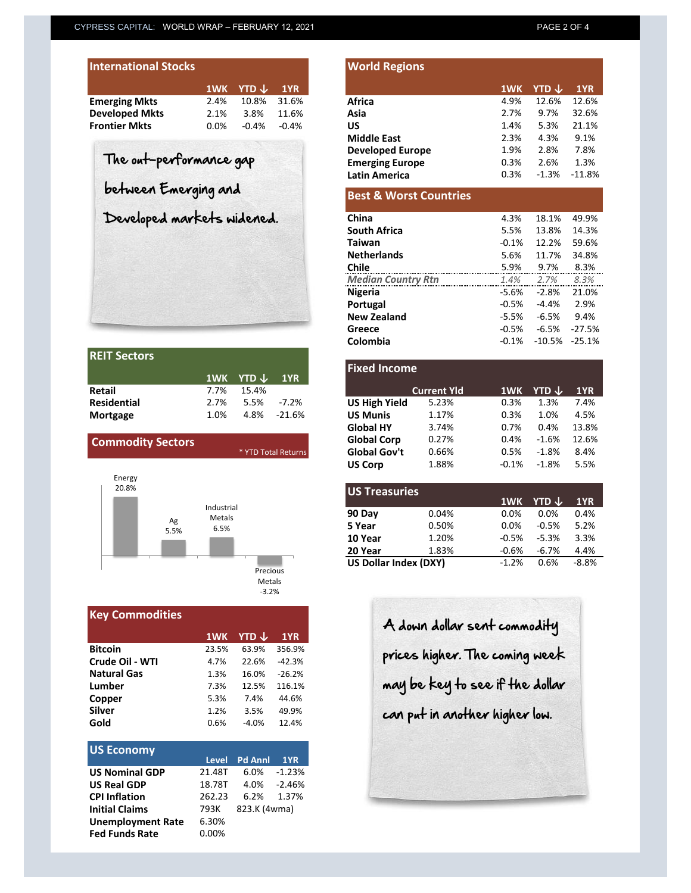| <b>International Stocks</b> |         |               |          |
|-----------------------------|---------|---------------|----------|
|                             |         | 1WK YTD ↓ 1YR |          |
| <b>Emerging Mkts</b>        | 2.4%    | 10.8%         | 31.6%    |
| <b>Developed Mkts</b>       | 2.1%    | 3.8%          | 11.6%    |
| <b>Frontier Mkts</b>        | $0.0\%$ | $-0.4\%$      | $-0.4\%$ |

| <b>REIT Sectors</b> |         |                          |             |
|---------------------|---------|--------------------------|-------------|
|                     |         | 1WK YTD $\downarrow$ 1YR |             |
| Retail              |         | 7.7% 15.4%               |             |
| <b>Residential</b>  | $2.7\%$ | 5.5% -7.2%               |             |
| Mortgage            | 1.0%    |                          | 4.8% -21.6% |



| <b>Key Commodities</b> |       |         |          |  |  |  |  |  |
|------------------------|-------|---------|----------|--|--|--|--|--|
|                        | 1WK   | YTD J   | 1YR      |  |  |  |  |  |
| <b>Bitcoin</b>         | 23.5% | 63.9%   | 356.9%   |  |  |  |  |  |
| Crude Oil - WTI        | 4.7%  | 22.6%   | $-42.3%$ |  |  |  |  |  |
| <b>Natural Gas</b>     | 1.3%  | 16.0%   | $-26.2%$ |  |  |  |  |  |
| Lumber                 | 7.3%  | 12.5%   | 116.1%   |  |  |  |  |  |
| Copper                 | 5.3%  | 7.4%    | 44.6%    |  |  |  |  |  |
| <b>Silver</b>          | 1.2%  | 3.5%    | 49.9%    |  |  |  |  |  |
| Gold                   | 0.6%  | $-4.0%$ | 12.4%    |  |  |  |  |  |

| <b>US Economy</b>        |          |                |          |
|--------------------------|----------|----------------|----------|
|                          | Level    | <b>Pd Anni</b> | 1YR      |
| <b>US Nominal GDP</b>    | 21.48T   | 6.0%           | $-1.23%$ |
| <b>US Real GDP</b>       | 18.78T   | 4.0%           | -2.46%   |
| <b>CPI Inflation</b>     | 262.23   | 6.2%           | 1.37%    |
| <b>Initial Claims</b>    | 793K     | 823.K (4wma)   |          |
| <b>Unemployment Rate</b> | 6.30%    |                |          |
| <b>Fed Funds Rate</b>    | $0.00\%$ |                |          |

| <b>International Stocks</b> |                 |                        | <b>World Regions</b> |                                   |          |                         |          |
|-----------------------------|-----------------|------------------------|----------------------|-----------------------------------|----------|-------------------------|----------|
|                             | 1WK             | YTD $\downarrow$       | 1YR                  |                                   | 1WK      | <b>YTD</b> $\downarrow$ | 1YR      |
| <b>Emerging Mkts</b>        | 2.4%            | 10.8%                  | 31.6%                | <b>Africa</b>                     | 4.9%     | 12.6%                   | 12.6%    |
| <b>Developed Mkts</b>       | 2.1%            | 3.8%                   | 11.6%                | Asia                              | 2.7%     | 9.7%                    | 32.6%    |
| <b>Frontier Mkts</b>        | 0.0%<br>$-0.4%$ |                        | $-0.4%$              | <b>US</b>                         | 1.4%     | 5.3%                    | 21.1%    |
|                             |                 |                        |                      | <b>Middle East</b>                | 2.3%     | 4.3%                    | 9.1%     |
|                             |                 |                        |                      | <b>Developed Europe</b>           | 1.9%     | 2.8%                    | 7.8%     |
| The out-performance gap     |                 | <b>Emerging Europe</b> | 0.3%                 | 2.6%                              | 1.3%     |                         |          |
|                             |                 | <b>Latin America</b>   | 0.3%                 | $-1.3%$                           | $-11.8%$ |                         |          |
| between Emerging and        |                 |                        |                      | <b>Best &amp; Worst Countries</b> |          |                         |          |
| Developed markets widened.  |                 |                        |                      | China                             | 4.3%     | 18.1%                   | 49.9%    |
|                             |                 |                        |                      | <b>South Africa</b>               | 5.5%     | 13.8%                   | 14.3%    |
|                             |                 |                        |                      | <b>Taiwan</b>                     | $-0.1%$  | 12.2%                   | 59.6%    |
|                             |                 |                        |                      | <b>Netherlands</b>                | 5.6%     | 11.7%                   | 34.8%    |
|                             |                 |                        |                      | <b>Chile</b>                      | 5.9%     | 9.7%                    | 8.3%     |
|                             |                 |                        |                      | <b>Median Country Rtn</b>         | 1.4%     | 2.7%                    | 8.3%     |
|                             |                 |                        |                      | <b>Nigeria</b>                    | -5.6%    | $-2.8%$                 | 21.0%    |
|                             |                 |                        |                      | Portugal                          | $-0.5\%$ | $-4.4%$                 | 2.9%     |
|                             |                 |                        |                      | <b>New Zealand</b>                | -5.5%    | $-6.5%$                 | 9.4%     |
|                             |                 |                        |                      | Greece                            | $-0.5%$  | $-6.5%$                 | $-27.5%$ |

| Retail                   | 1WK<br>7.7% | <b>YTD</b> $\downarrow$<br>15.4% | 1YR                 |
|--------------------------|-------------|----------------------------------|---------------------|
| Residential              | 2.7%        | 5.5%                             | $-7.2%$             |
| Mortgage                 | 1.0%        | 4.8%                             | $-21.6%$            |
|                          |             |                                  |                     |
| <b>Commodity Sectors</b> |             |                                  |                     |
|                          |             |                                  | * YTD Total Returns |
|                          |             |                                  |                     |
|                          |             |                                  |                     |

**Colombia** -0.1% -10.5% -25.1%

| <b>US Treasuries</b>         |       |         |                         |         |
|------------------------------|-------|---------|-------------------------|---------|
|                              |       | 1WK     | <b>YTD</b> $\downarrow$ | 1YR     |
| 90 Day                       | 0.04% | 0.0%    | 0.0%                    | 0.4%    |
| 5 Year                       | 0.50% | 0.0%    | $-0.5%$                 | 5.2%    |
| 10 Year                      | 1.20% | $-0.5%$ | $-5.3%$                 | 3.3%    |
| 20 Year                      | 1.83% | $-0.6%$ | $-6.7%$                 | 4.4%    |
| <b>US Dollar Index (DXY)</b> |       | $-1.2%$ | 0.6%                    | $-8.8%$ |
|                              |       |         |                         |         |

A down dollar sent commodity prices higher. The coming week may be key to see if the dollar can put in another higher low.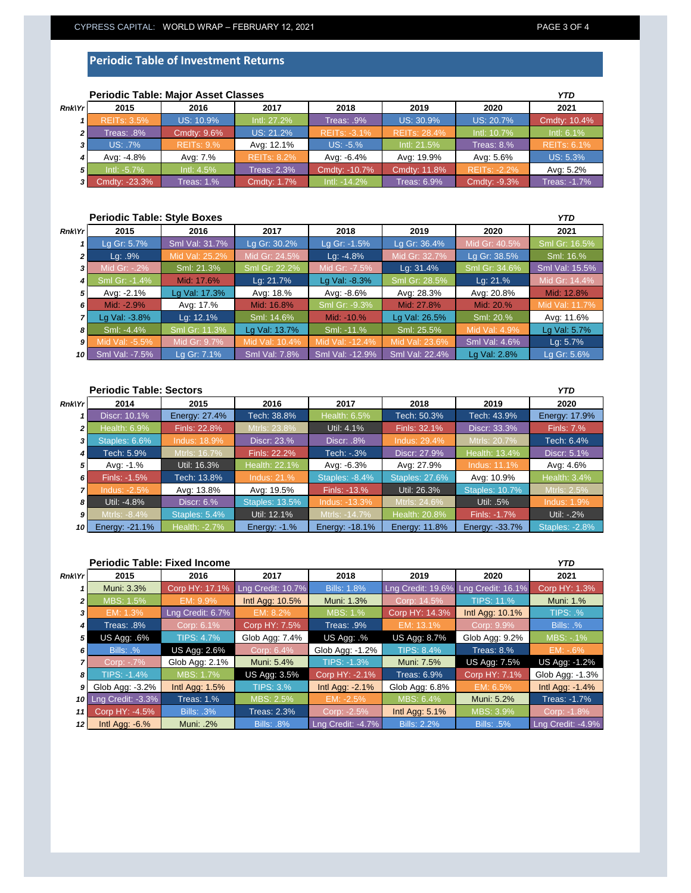#### **Periodic Table of Investment Returns**

|                | <b>Periodic Table: Major Asset Classes</b> |                   |                    |                     |                     |                     |                     |  |  |
|----------------|--------------------------------------------|-------------------|--------------------|---------------------|---------------------|---------------------|---------------------|--|--|
| $Rnk$ $Yr$     | 2015                                       | 2016              | 2017               | 2018                | 2019                | 2020                | 2021                |  |  |
|                | <b>REITs: 3.5%</b>                         | US: 10.9%         | Intl: 27.2%        | Treas: .9%          | US: 30.9%           | US: 20.7%           | Cmdty: 10.4%        |  |  |
| 2 <sup>1</sup> | 8%. Treas:                                 | Cmdty: 9.6%       | US: 21.2%          | <b>REITS: -3.1%</b> | <b>REITs: 28.4%</b> | Intl: 10.7%         | Intl: 6.1%          |  |  |
| 31             | US: .7%                                    | <b>REITs: 9.%</b> | Avg: 12.1%         | US: -5.%            | Intl: 21.5%         | Treas: $8.%$        | <b>REITS: 6.1%</b>  |  |  |
|                | Avg: -4.8%                                 | Avg: 7.%          | <b>REITS: 8.2%</b> | Avg: -6.4%          | Avg: 19.9%          | Avg: 5.6%           | US: 5.3%            |  |  |
| 5              | $Int: -5.7\%$                              | Intl: 4.5%        | Treas: 2.3%        | Cmdty: -10.7%       | Cmdty: 11.8%        | <b>REITS: -2.2%</b> | Avg: 5.2%           |  |  |
| 3 I            | Cmdty: -23.3%                              | Treas: 1.%        | Cmdty: 1.7%        | Intl: -14.2%        | <b>Treas: 6.9%</b>  | Cmdty: -9.3%        | <b>Treas: -1.7%</b> |  |  |

### **Periodic Table: Major Asset Classes**

#### **Periodic Table: Style Boxes**

| Rnk Yr | 2015           | 2016           | 2017           | 2018            | 2019           | 2020          | 2021           |
|--------|----------------|----------------|----------------|-----------------|----------------|---------------|----------------|
|        | Lg Gr: 5.7%    | Sml Val: 31.7% | Lg Gr: 30.2%   | Lg Gr: -1.5%    | Lg Gr: 36.4%   | Mid Gr: 40.5% | Sml Gr: 16.5%  |
| 2      | $Lq$ : .9%     | Mid Val: 25.2% | Mid Gr: 24.5%  | $Lq: -4.8%$     | Mid Gr: 32.7%  | Lg Gr: 38.5%  | Sml: 16.%      |
| 3      | Mid Gr: -. 2%  | Sml: 21.3%     | Sml Gr: 22.2%  | Mid Gr: -7.5%   | Lg: 31.4%      | Sml Gr: 34.6% | Sml Val: 15.5% |
| 4      | Sml Gr: -1.4%  | Mid: 17.6%     | Lg: 21.7%      | Lg Val: -8.3%   | Sml Gr: 28.5%  | Lq: 21.%      | Mid Gr: 14.4%  |
| 5      | Avg: -2.1%     | Lg Val: 17.3%  | Avg: 18.%      | Avg: -8.6%      | Avg: 28.3%     | Avg: 20.8%    | Mid: 12.8%     |
| 6      | Mid: -2.9%     | Avg: 17.%      | Mid: 16.8%     | Sml Gr: -9.3%   | Mid: 27.8%     | Mid: 20.%     | Mid Val: 11.7% |
|        | Lg Val: -3.8%  | Lg: 12.1%      | Sml: 14.6%     | Mid: -10.%      | Lg Val: 26.5%  | Sml: 20.%     | Avg: 11.6%     |
| 8      | Sml: -4.4%     | Sml Gr: 11.3%  | Lg Val: 13.7%  | Sml: -11.%      | Sml: 25.5%     | Mid Val: 4.9% | Lg Val: 5.7%   |
| 9      | Mid Val: -5.5% | Mid Gr: 9.7%   | Mid Val: 10.4% | Mid Val: -12.4% | Mid Val: 23.6% | Sml Val: 4.6% | Lg: 5.7%       |
| 10     | Sml Val: -7.5% | Lg Gr: 7.1%    | Sml Val: 7.8%  | Sml Val: -12.9% | Sml Val: 22.4% | Lg Val: 2.8%  | La Gr: 5.6%    |

#### **Periodic Table: Sectors** *Rnk\Yr 1 2 3 4 5 6 7 8 9 10* Finls: -1.7% Util: -.2% Energy: -21.1% | Health: -2.7% | Energy: -1.% | Energy: -18.1% | Energy: 11.8% | Energy: -33.7% | Staples: -2.8% Staples: 5.4% Util: 12.1% Mtrls: -14.7% Health: 20.8% Staples: 10.7% Mtrls: 2.5% Util: -4.8% Discr: 6.% Staples: 13.5% Indus: -13.3% Mtrls: 24.6% Util: .5% Indus: 1.9 Avg: 13.8% Avg: 19.5% Finls: -13.% Util: 26.3% Indus: 11.1% Avg: 4.6% Finls: -1.5% Tech: 13.8% Indus: 21.% Staples: -8.4% Staples: 27.6% Avg: 10.9% Health: 3.4% Avg: -1.% Util: 16.3% Health: 22.1% Avg: -6.3% Avg: 27.9% Tech: 6.4% Tech: 5.9% Mtrls: 16.7% Finls: 22.2% Tech: -.3% Discr: 27.9% Health: 13.4% Discr: 5.1% Staples: 6.6% Indus: 18.9% Discr: 23.% Discr: .8% Indus: 29.4% Tech: 43.9% **Energy: 17.9%** Alth: 6.9% Finls: 22.8% Mtrls: 23.8% Util: 4.1% Finls: 32.1% Discr: 33.3% Finls: 7. Discr: 10.1% **Energy: 27.4% Tech: 38.8% Health: 6.5% Tech: 50.3%** *YTD* **2014 2015 2016 2017 2018 2019 2020**

| <b>Periodic Table: Fixed Income</b> |                             |                   |                    |                    |                     |                     |                     |  |
|-------------------------------------|-----------------------------|-------------------|--------------------|--------------------|---------------------|---------------------|---------------------|--|
| <b>Rnk\Yr</b>                       | 2015                        | 2016              | 2017               | 2018               | 2019                | 2020                | 2021                |  |
|                                     | Muni: 3.3%                  | Corp HY: 17.1%    | Lng Credit: 10.7%  | <b>Bills: 1.8%</b> | Lng Credit: 19.6%   | Lng Credit: 16.1%   | Corp HY: 1.3%       |  |
| 2                                   | MBS: 1.5%                   | EM: 9.9%          | Intl Agg: 10.5%    | Muni: 1.3%         | Corp: 14.5%         | <b>TIPS: 11.%</b>   | <b>Muni: 1.%</b>    |  |
| 3                                   | EM: 1.3%                    | Lng Credit: 6.7%  | EM: 8.2%           | MBS: 1.%           | Corp HY: 14.3%      | Intl Agg: 10.1%     | <b>TIPS: .%</b>     |  |
| 4                                   | 7reas: .8%                  | Corp: 6.1%        | Corp HY: 7.5%      | Treas: .9%         | EM: 13.1%           | Corp: 9.9%          | Bills: .%           |  |
| 5                                   | US Agg: .6%                 | <b>TIPS: 4.7%</b> | Glob Agg: 7.4%     | US Agg: .%         | <b>US Agg: 8.7%</b> | Glob Agg: 9.2%      | MBS: -.1%           |  |
| 6                                   | Bills: .%                   | US Agg: 2.6%      | Corp: 6.4%         | Glob Agg: -1.2%    | <b>TIPS: 8.4%</b>   | Treas: $8.%$        | EM: -.6%            |  |
|                                     | Corp: -.7%                  | Glob Agg: 2.1%    | Muni: 5.4%         | $TIPS: -1.3%$      | Muni: 7.5%          | <b>US Agg: 7.5%</b> | US Agg: -1.2%       |  |
| 8                                   | TIPS: -1.4%                 | MBS: 1.7%         | US Agg: 3.5%       | Corp HY: -2.1%     | <b>Treas: 6.9%</b>  | Corp HY: 7.1%       | Glob Agg: -1.3%     |  |
| 9                                   | Glob Agg: -3.2%             | Intl Agg: $1.5%$  | <b>TIPS: 3.%</b>   | Intl Agg: -2.1%    | Glob Agg: 6.8%      | EM: 6.5%            | Intl Agg: $-1.4\%$  |  |
|                                     | <b>10</b> Lng Credit: -3.3% | Treas: $1.%$      | MBS: 2.5%          | $EM: -2.5%$        | MBS: 6.4%           | Muni: 5.2%          | <b>Treas: -1.7%</b> |  |
| 11                                  | Corp HY: -4.5%              | <b>Bills: .3%</b> | <b>Treas: 2.3%</b> | Corp: -2.5%        | Intl Agg: $5.1\%$   | MBS: 3.9%           | Corp: -1.8%         |  |
| 12 <sup>1</sup>                     | Intl Agg: $-6.%$            | Muni: .2%         | <b>Bills: .8%</b>  | Lng Credit: -4.7%  | <b>Bills: 2.2%</b>  | <b>Bills: .5%</b>   | Lng Credit: -4.9%   |  |

*YTD*